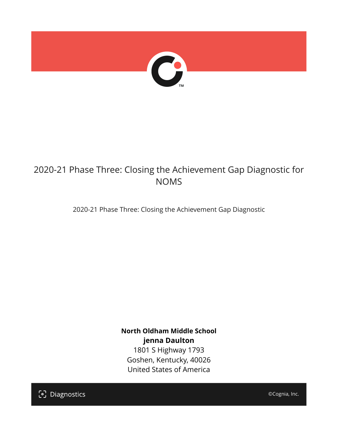

## 2020-21 Phase Three: Closing the Achievement Gap Diagnostic for NOMS

2020-21 Phase Three: Closing the Achievement Gap Diagnostic

**North Oldham Middle School jenna Daulton** 1801 S Highway 1793 Goshen, Kentucky, 40026 United States of America

[၁] Diagnostics

©Cognia, Inc.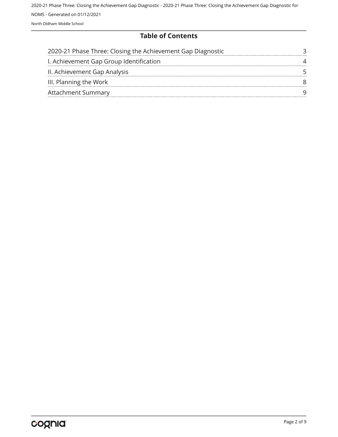#### **Table of Contents**

| 2020-21 Phase Three: Closing the Achievement Gap Diagnostic |  |
|-------------------------------------------------------------|--|
| I. Achievement Gap Group Identification                     |  |
| II. Achievement Gap Analysis                                |  |
| III. Planning the Work                                      |  |
| <b>Attachment Summary</b>                                   |  |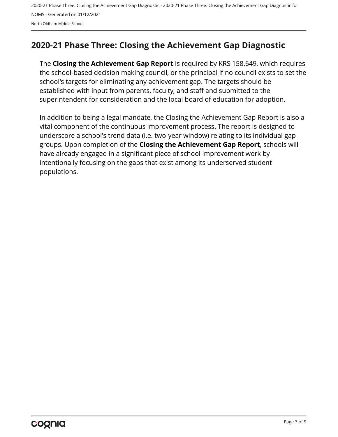## <span id="page-2-0"></span>**2020-21 Phase Three: Closing the Achievement Gap Diagnostic**

The **Closing the Achievement Gap Report** is required by KRS 158.649, which requires the school-based decision making council, or the principal if no council exists to set the school's targets for eliminating any achievement gap. The targets should be established with input from parents, faculty, and staff and submitted to the superintendent for consideration and the local board of education for adoption.

In addition to being a legal mandate, the Closing the Achievement Gap Report is also a vital component of the continuous improvement process. The report is designed to underscore a school's trend data (i.e. two-year window) relating to its individual gap groups. Upon completion of the **Closing the Achievement Gap Report**, schools will have already engaged in a significant piece of school improvement work by intentionally focusing on the gaps that exist among its underserved student populations.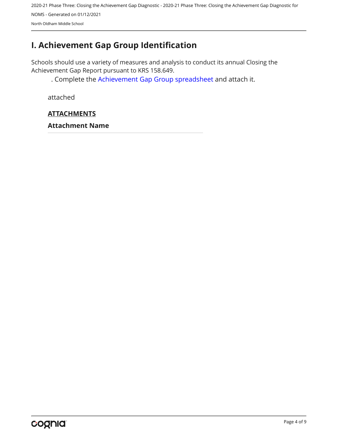## <span id="page-3-0"></span>**I. Achievement Gap Group Identification**

Schools should use a variety of measures and analysis to conduct its annual Closing the Achievement Gap Report pursuant to KRS 158.649.

. Complete the [Achievement Gap Group spreadsheet a](https://drive.google.com/file/d/0B7A6n8V1dmUOWFNKY2dSTTFibjA/view?usp=sharing)nd attach it.

attached

## **ATTACHMENTS**

**Attachment Name**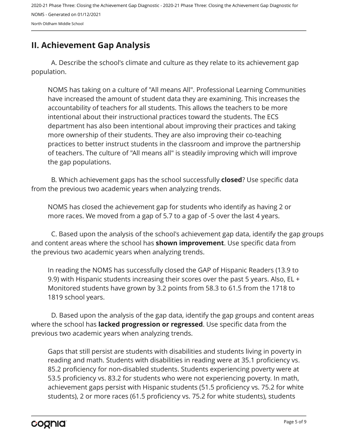## <span id="page-4-0"></span>**II. Achievement Gap Analysis**

A. Describe the school's climate and culture as they relate to its achievement gap population.

NOMS has taking on a culture of "All means All". Professional Learning Communities have increased the amount of student data they are examining. This increases the accountability of teachers for all students. This allows the teachers to be more intentional about their instructional practices toward the students. The ECS department has also been intentional about improving their practices and taking more ownership of their students. They are also improving their co-teaching practices to better instruct students in the classroom and improve the partnership of teachers. The culture of "All means all" is steadily improving which will improve the gap populations.

B. Which achievement gaps has the school successfully **closed**? Use specific data from the previous two academic years when analyzing trends.

NOMS has closed the achievement gap for students who identify as having 2 or more races. We moved from a gap of 5.7 to a gap of -5 over the last 4 years.

C. Based upon the analysis of the school's achievement gap data, identify the gap groups and content areas where the school has **shown improvement**. Use specific data from the previous two academic years when analyzing trends.

In reading the NOMS has successfully closed the GAP of Hispanic Readers (13.9 to 9.9) with Hispanic students increasing their scores over the past 5 years. Also, EL + Monitored students have grown by 3.2 points from 58.3 to 61.5 from the 1718 to 1819 school years.

D. Based upon the analysis of the gap data, identify the gap groups and content areas where the school has **lacked progression or regressed**. Use specific data from the previous two academic years when analyzing trends.

Gaps that still persist are students with disabilities and students living in poverty in reading and math. Students with disabilities in reading were at 35.1 proficiency vs. 85.2 proficiency for non-disabled students. Students experiencing poverty were at 53.5 proficiency vs. 83.2 for students who were not experiencing poverty. In math, achievement gaps persist with Hispanic students (51.5 proficiency vs. 75.2 for white students), 2 or more races (61.5 proficiency vs. 75.2 for white students), students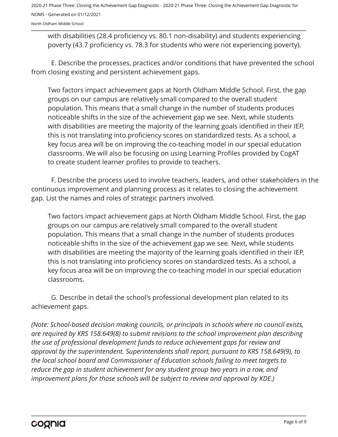North Oldham Middle School

with disabilities (28.4 proficiency vs. 80.1 non-disability) and students experiencing poverty (43.7 proficiency vs. 78.3 for students who were not experiencing poverty).

E. Describe the processes, practices and/or conditions that have prevented the school from closing existing and persistent achievement gaps.

Two factors impact achievement gaps at North Oldham Middle School. First, the gap groups on our campus are relatively small compared to the overall student population. This means that a small change in the number of students produces noticeable shifts in the size of the achievement gap we see. Next, while students with disabilities are meeting the majority of the learning goals identified in their IEP, this is not translating into proficiency scores on standardized tests. As a school, a key focus area will be on improving the co-teaching model in our special education classrooms. We will also be focusing on using Learning Profiles provided by CogAT to create student learner profiles to provide to teachers.

F. Describe the process used to involve teachers, leaders, and other stakeholders in the continuous improvement and planning process as it relates to closing the achievement gap. List the names and roles of strategic partners involved.

Two factors impact achievement gaps at North Oldham Middle School. First, the gap groups on our campus are relatively small compared to the overall student population. This means that a small change in the number of students produces noticeable shifts in the size of the achievement gap we see. Next, while students with disabilities are meeting the majority of the learning goals identified in their IEP, this is not translating into proficiency scores on standardized tests. As a school, a key focus area will be on improving the co-teaching model in our special education classrooms.

G. Describe in detail the school's professional development plan related to its achievement gaps.

*(Note: School-based decision making councils, or principals in schools where no council exists, are required by KRS 158.649(8) to submit revisions to the school improvement plan describing the use of professional development funds to reduce achievement gaps for review and approval by the superintendent. Superintendents shall report, pursuant to KRS 158.649(9), to the local school board and Commissioner of Education schools failing to meet targets to reduce the gap in student achievement for any student group two years in a row, and improvement plans for those schools will be subject to review and approval by KDE.)*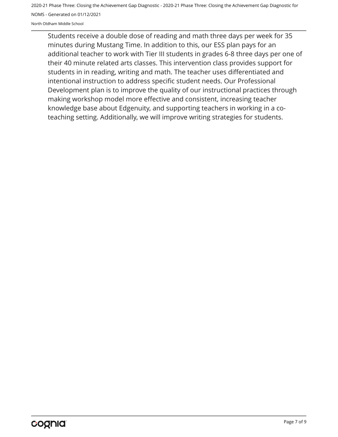North Oldham Middle School

Students receive a double dose of reading and math three days per week for 35 minutes during Mustang Time. In addition to this, our ESS plan pays for an additional teacher to work with Tier III students in grades 6-8 three days per one of their 40 minute related arts classes. This intervention class provides support for students in in reading, writing and math. The teacher uses differentiated and intentional instruction to address specific student needs. Our Professional Development plan is to improve the quality of our instructional practices through making workshop model more effective and consistent, increasing teacher knowledge base about Edgenuity, and supporting teachers in working in a coteaching setting. Additionally, we will improve writing strategies for students.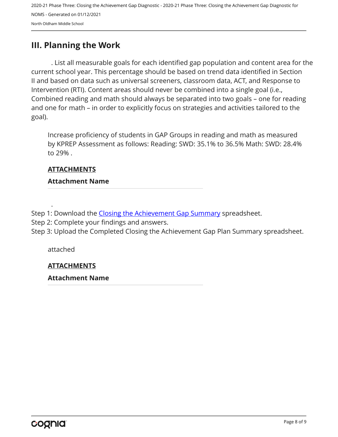## <span id="page-7-0"></span>**III. Planning the Work**

. List all measurable goals for each identified gap population and content area for the current school year. This percentage should be based on trend data identified in Section II and based on data such as universal screeners, classroom data, ACT, and Response to Intervention (RTI). Content areas should never be combined into a single goal (i.e., Combined reading and math should always be separated into two goals – one for reading and one for math – in order to explicitly focus on strategies and activities tailored to the goal).

Increase proficiency of students in GAP Groups in reading and math as measured by KPREP Assessment as follows: Reading: SWD: 35.1% to 36.5% Math: SWD: 28.4% to 29% .

## **ATTACHMENTS**

#### **Attachment Name**

Step 1: Download the [Closing the Achievement Gap Summary](https://drive.google.com/file/d/0B6i22i6omk4ySmUtTHZuSVRFazQ/view) spreadsheet.

Step 2: Complete your findings and answers.

Step 3: Upload the Completed Closing the Achievement Gap Plan Summary spreadsheet.

attached

.

#### **ATTACHMENTS**

#### **Attachment Name**